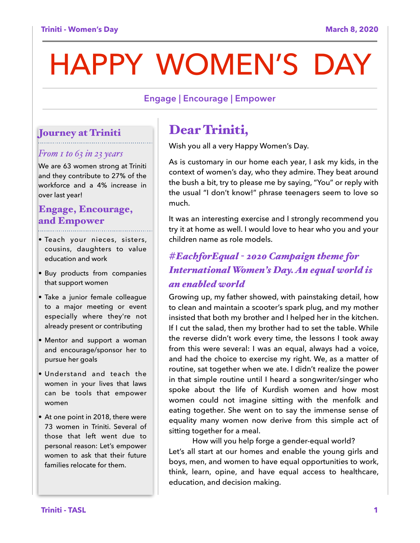# HAPPY WOMEN'S DAY

#### **Engage | Encourage | Empower**

#### Journey at Triniti

#### *From 1 to 63 in 23 years*

We are 63 women strong at Triniti and they contribute to 27% of the workforce and a 4% increase in over last year!

#### Engage, Encourage, and Empower

- Teach your nieces, sisters, cousins, daughters to value education and work
- Buy products from companies that support women
- Take a junior female colleague to a major meeting or event especially where they're not already present or contributing
- Mentor and support a woman and encourage/sponsor her to pursue her goals
- Understand and teach the women in your lives that laws can be tools that empower women
- At one point in 2018, there were 73 women in Triniti. Several of those that left went due to personal reason: Let's empower women to ask that their future families relocate for them.

## Dear Triniti,

Wish you all a very Happy Women's Day.

As is customary in our home each year, I ask my kids, in the context of women's day, who they admire. They beat around the bush a bit, try to please me by saying, "You" or reply with the usual "I don't know!" phrase teenagers seem to love so much.

It was an interesting exercise and I strongly recommend you try it at home as well. I would love to hear who you and your children name as role models.

### *#EachforEqual - 2020 Campaign theme for International Women's Day. An equal world is an enabled world*

Growing up, my father showed, with painstaking detail, how to clean and maintain a scooter's spark plug, and my mother insisted that both my brother and I helped her in the kitchen. If I cut the salad, then my brother had to set the table. While the reverse didn't work every time, the lessons I took away from this were several: I was an equal, always had a voice, and had the choice to exercise my right. We, as a matter of routine, sat together when we ate. I didn't realize the power in that simple routine until I heard a songwriter/singer who spoke about the life of Kurdish women and how most women could not imagine sitting with the menfolk and eating together. She went on to say the immense sense of equality many women now derive from this simple act of sitting together for a meal.

How will you help forge a gender-equal world? Let's all start at our homes and enable the young girls and boys, men, and women to have equal opportunities to work, think, learn, opine, and have equal access to healthcare, education, and decision making.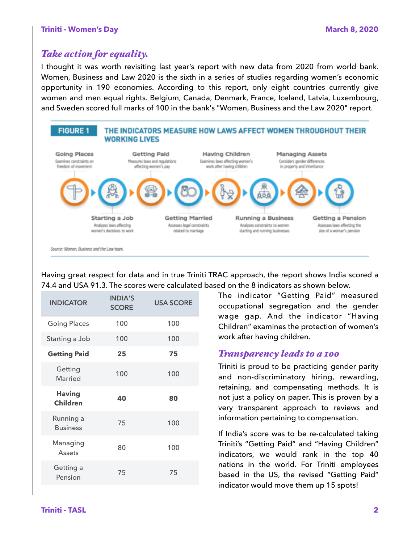#### **Triniti - Women's Day National Community of the Community Community Community Community Community Community Community Community Community Community Community Community Community Community Community Community Community Com**

#### *Take action for equality.*

I thought it was worth revisiting last year's report with new data from 2020 from world bank. Women, Business and Law 2020 is the sixth in a series of studies regarding women's economic opportunity in 190 economies. According to this report, only eight countries currently give women and men equal rights. Belgium, Canada, Denmark, France, Iceland, Latvia, Luxembourg, and Sweden scored full marks of 100 in the [bank's "Women, Business and the Law 2020" report.](https://openknowledge.worldbank.org/bitstream/handle/10986/32639/9781464815324.pdf?sequence=6&isAllowed=y)



Having great respect for data and in true Triniti TRAC approach, the report shows India scored a 74.4 and USA 91.3. The scores were calculated based on the 8 indicators as shown below.

| <b>INDICATOR</b>                 | <b>INDIA'S</b><br><b>SCORE</b> | <b>USA SCORE</b> |
|----------------------------------|--------------------------------|------------------|
| <b>Going Places</b>              | 100                            | 100              |
| Starting a Job                   | 100                            | 100              |
| <b>Getting Paid</b>              | 25                             | 75               |
| Getting<br>Married               | 100                            | 100              |
| <b>Having</b><br><b>Children</b> | 40                             | 80               |
| Running a<br><b>Business</b>     | 75                             | 100              |
| Managing<br>Assets               | 80                             | 100              |
| Getting a<br>Pension             | 75                             | 75               |

The indicator "Getting Paid" measured occupational segregation and the gender wage gap. And the indicator "Having Children" examines the protection of women's work after having children.

#### *Transparency leads to a 100*

Triniti is proud to be practicing gender parity and non-discriminatory hiring, rewarding, retaining, and compensating methods. It is not just a policy on paper. This is proven by a very transparent approach to reviews and information pertaining to compensation.

If India's score was to be re-calculated taking Triniti's "Getting Paid" and "Having Children" indicators, we would rank in the top 40 nations in the world. For Triniti employees based in the US, the revised "Getting Paid" indicator would move them up 15 spots!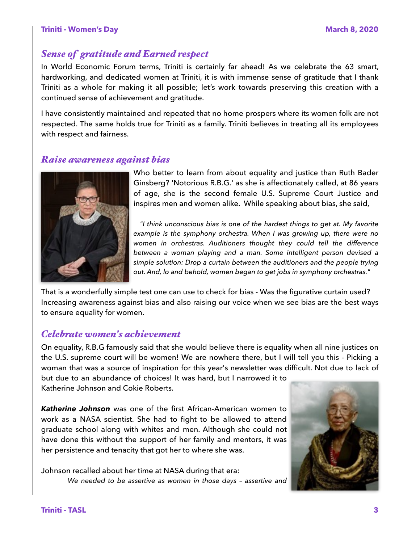#### *Sense of gratitude and Earned respect*

In World Economic Forum terms, Triniti is certainly far ahead! As we celebrate the 63 smart, hardworking, and dedicated women at Triniti, it is with immense sense of gratitude that I thank Triniti as a whole for making it all possible; let's work towards preserving this creation with a continued sense of achievement and gratitude.

I have consistently maintained and repeated that no home prospers where its women folk are not respected. The same holds true for Triniti as a family. Triniti believes in treating all its employees with respect and fairness.

#### *Raise awareness against bias*



Who better to learn from about equality and justice than Ruth Bader Ginsberg? 'Notorious R.B.G.' as she is affectionately called, at 86 years of age, she is the second female U.S. Supreme Court Justice and inspires men and women alike. While speaking about bias, she said,

*"I think unconscious bias is one of the hardest things to get at. My favorite example is the symphony orchestra. When I was growing up, there were no women in orchestras. Auditioners thought they could tell the difference between a woman playing and a man. Some intelligent person devised a simple solution: Drop a curtain between the auditioners and the people trying out. And, lo and behold, women began to get jobs in symphony orchestras."* 

That is a wonderfully simple test one can use to check for bias - Was the figurative curtain used? Increasing awareness against bias and also raising our voice when we see bias are the best ways to ensure equality for women.

#### *Celebrate women's achievement*

On equality, R.B.G famously said that she would believe there is equality when all nine justices on the U.S. supreme court will be women! We are nowhere there, but I will tell you this - Picking a woman that was a source of inspiration for this year's newsletter was difficult. Not due to lack of but due to an abundance of choices! It was hard, but I narrowed it to Katherine Johnson and Cokie Roberts.

*Katherine Johnson* was one of the first African-American women to work as a NASA scientist. She had to fight to be allowed to attend graduate school along with whites and men. Although she could not have done this without the support of her family and mentors, it was her persistence and tenacity that got her to where she was.

Johnson recalled about her time at NASA during that era:  *We needed to be assertive as women in those days – assertive and* 

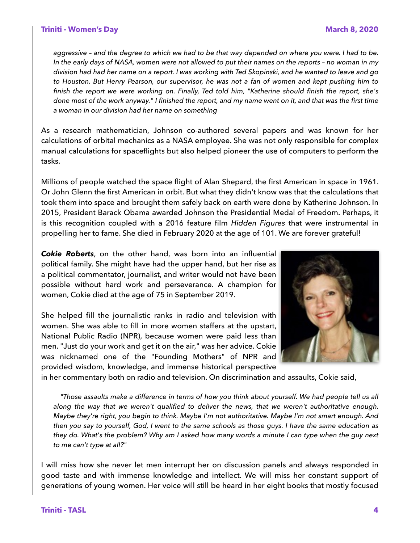#### **Triniti - Women's Day National Contract of the Contract of the March 8, 2020**

*aggressive – and the degree to which we had to be that way depended on where you were. I had to be. In the early days of NASA, women were not allowed to put their names on the reports – no woman in my division had had her name on a report. I was working with Ted Skopinski, and he wanted to leave and go to Houston. But Henry Pearson, our supervisor, he was not a fan of women and kept pushing him to finish the report we were working on. Finally, Ted told him, "Katherine should finish the report, she's done most of the work anyway." I finished the report, and my name went on it, and that was the first time a woman in our division had her name on something* 

As a research mathematician, Johnson co-authored several papers and was known for her calculations of orbital mechanics as a NASA employee. She was not only responsible for complex manual calculations for spaceflights but also helped pioneer the use of computers to perform the tasks.

Millions of people watched the space flight of Alan Shepard, the first American in space in 1961. Or John Glenn the first American in orbit. But what they didn't know was that the calculations that took them into space and brought them safely back on earth were done by Katherine Johnson. In 2015, President Barack Obama awarded Johnson the Presidential Medal of Freedom. Perhaps, it is this recognition coupled with a 2016 feature film *Hidden Figures* that were instrumental in propelling her to fame. She died in February 2020 at the age of 101. We are forever grateful!

*Cokie Roberts*, on the other hand, was born into an influential political family. She might have had the upper hand, but her rise as a political commentator, journalist, and writer would not have been possible without hard work and perseverance. A champion for women, Cokie died at the age of 75 in September 2019.

She helped fill the journalistic ranks in radio and television with women. She was able to fill in more women staffers at the upstart, National Public Radio (NPR), because women were paid less than men. "Just do your work and get it on the air," was her advice. Cokie was nicknamed one of the "Founding Mothers" of NPR and provided wisdom, knowledge, and immense historical perspective



in her commentary both on radio and television. On discrimination and assaults, Cokie said,

 *"Those assaults make a difference in terms of how you think about yourself. We had people tell us all along the way that we weren't qualified to deliver the news, that we weren't authoritative enough. Maybe they're right, you begin to think. Maybe I'm not authoritative. Maybe I'm not smart enough. And then you say to yourself, God, I went to the same schools as those guys. I have the same education as they do. What's the problem? Why am I asked how many words a minute I can type when the guy next to me can't type at all?"* 

I will miss how she never let men interrupt her on discussion panels and always responded in good taste and with immense knowledge and intellect. We will miss her constant support of generations of young women. Her voice will still be heard in her eight books that mostly focused